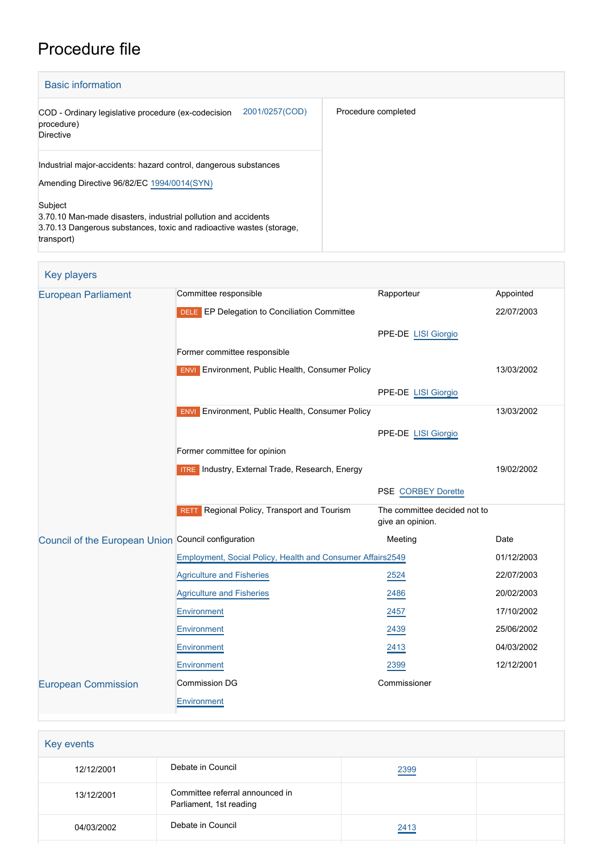# Procedure file

| <b>Basic information</b>                                                                                                                                        |                     |
|-----------------------------------------------------------------------------------------------------------------------------------------------------------------|---------------------|
| 2001/0257(COD)<br>COD - Ordinary legislative procedure (ex-codecision<br>procedure)<br>Directive                                                                | Procedure completed |
| Industrial major-accidents: hazard control, dangerous substances<br>Amending Directive 96/82/EC 1994/0014(SYN)                                                  |                     |
| Subject<br>3.70.10 Man-made disasters, industrial pollution and accidents<br>3.70.13 Dangerous substances, toxic and radioactive wastes (storage,<br>transport) |                     |

| <b>Key players</b>                                  |                                                            |                                                  |            |
|-----------------------------------------------------|------------------------------------------------------------|--------------------------------------------------|------------|
| <b>European Parliament</b>                          | Committee responsible                                      | Rapporteur                                       | Appointed  |
|                                                     | <b>DELE</b> EP Delegation to Conciliation Committee        |                                                  | 22/07/2003 |
|                                                     |                                                            | PPE-DE LISI Giorgio                              |            |
|                                                     | Former committee responsible                               |                                                  |            |
|                                                     | <b>ENVI</b> Environment, Public Health, Consumer Policy    |                                                  | 13/03/2002 |
|                                                     |                                                            | PPE-DE LISI Giorgio                              |            |
|                                                     | <b>ENVI</b> Environment, Public Health, Consumer Policy    |                                                  | 13/03/2002 |
|                                                     |                                                            | PPE-DE LISI Giorgio                              |            |
|                                                     | Former committee for opinion                               |                                                  |            |
|                                                     | <b>ITRE</b> Industry, External Trade, Research, Energy     |                                                  | 19/02/2002 |
|                                                     |                                                            | <b>PSE CORBEY Dorette</b>                        |            |
|                                                     | RETT Regional Policy, Transport and Tourism                | The committee decided not to<br>give an opinion. |            |
| Council of the European Union Council configuration |                                                            | Meeting                                          | Date       |
|                                                     | Employment, Social Policy, Health and Consumer Affairs2549 |                                                  | 01/12/2003 |
|                                                     | <b>Agriculture and Fisheries</b>                           | 2524                                             | 22/07/2003 |
|                                                     | <b>Agriculture and Fisheries</b>                           | 2486                                             | 20/02/2003 |
|                                                     | Environment                                                | 2457                                             | 17/10/2002 |
|                                                     | Environment                                                | 2439                                             | 25/06/2002 |
|                                                     | Environment                                                | 2413                                             | 04/03/2002 |
|                                                     | Environment                                                | 2399                                             | 12/12/2001 |
| <b>European Commission</b>                          | <b>Commission DG</b>                                       | Commissioner                                     |            |
|                                                     | Environment                                                |                                                  |            |
|                                                     |                                                            |                                                  |            |

| Key events |                                                            |      |  |
|------------|------------------------------------------------------------|------|--|
| 12/12/2001 | Debate in Council                                          | 2399 |  |
| 13/12/2001 | Committee referral announced in<br>Parliament, 1st reading |      |  |
| 04/03/2002 | Debate in Council                                          | 2413 |  |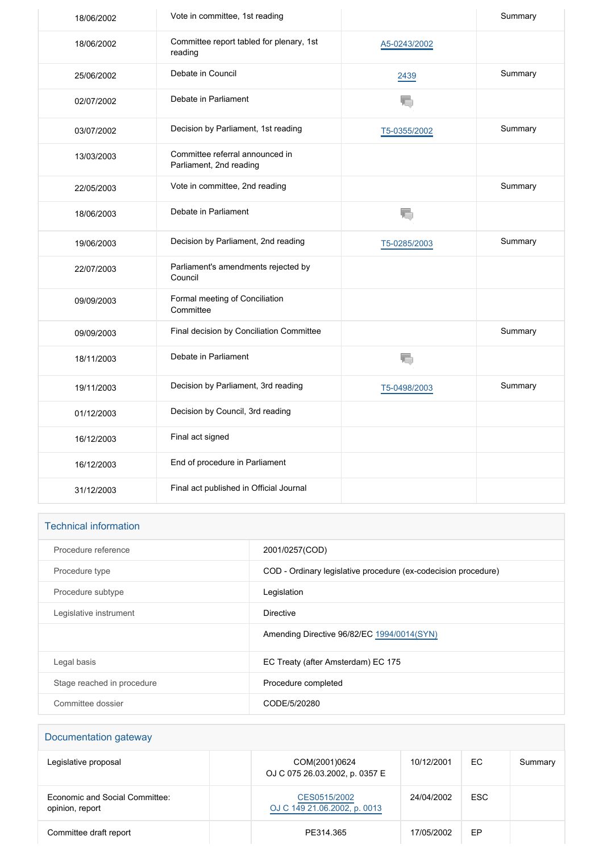| Vote in committee, 1st reading                             |              | Summary |
|------------------------------------------------------------|--------------|---------|
| Committee report tabled for plenary, 1st<br>reading        | A5-0243/2002 |         |
| Debate in Council                                          | 2439         | Summary |
| Debate in Parliament                                       | ł.           |         |
| Decision by Parliament, 1st reading                        | T5-0355/2002 | Summary |
| Committee referral announced in<br>Parliament, 2nd reading |              |         |
| Vote in committee, 2nd reading                             |              | Summary |
| Debate in Parliament                                       | ł.           |         |
| Decision by Parliament, 2nd reading                        | T5-0285/2003 | Summary |
| Parliament's amendments rejected by<br>Council             |              |         |
| Formal meeting of Conciliation<br>Committee                |              |         |
| Final decision by Conciliation Committee                   |              | Summary |
| Debate in Parliament                                       | T.           |         |
| Decision by Parliament, 3rd reading                        | T5-0498/2003 | Summary |
| Decision by Council, 3rd reading                           |              |         |
| Final act signed                                           |              |         |
| End of procedure in Parliament                             |              |         |
| Final act published in Official Journal                    |              |         |
|                                                            |              |         |

| <b>Technical information</b> |                                                                |
|------------------------------|----------------------------------------------------------------|
| Procedure reference          | 2001/0257(COD)                                                 |
| Procedure type               | COD - Ordinary legislative procedure (ex-codecision procedure) |
| Procedure subtype            | Legislation                                                    |
| Legislative instrument       | Directive                                                      |
|                              | Amending Directive 96/82/EC 1994/0014(SYN)                     |
| Legal basis                  | EC Treaty (after Amsterdam) EC 175                             |
| Stage reached in procedure   | Procedure completed                                            |
| Committee dossier            | CODE/5/20280                                                   |

| Documentation gateway                             |                                                 |            |            |         |
|---------------------------------------------------|-------------------------------------------------|------------|------------|---------|
| Legislative proposal                              | COM(2001)0624<br>OJ C 075 26.03.2002, p. 0357 E | 10/12/2001 | ЕC         | Summary |
| Economic and Social Committee:<br>opinion, report | CES0515/2002<br>OJ C 149 21.06.2002, p. 0013    | 24/04/2002 | <b>ESC</b> |         |
| Committee draft report                            | PE314.365                                       | 17/05/2002 | EP         |         |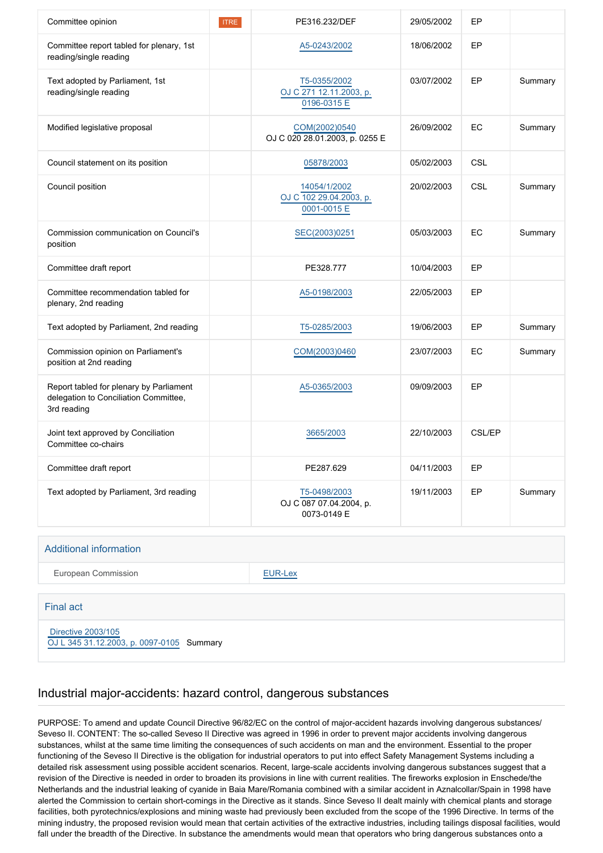| Committee opinion                                                                               | <b>ITRE</b> | PE316.232/DEF                                          | 29/05/2002 | EP            |         |
|-------------------------------------------------------------------------------------------------|-------------|--------------------------------------------------------|------------|---------------|---------|
| Committee report tabled for plenary, 1st<br>reading/single reading                              |             | A5-0243/2002                                           | 18/06/2002 | EP            |         |
| Text adopted by Parliament, 1st<br>reading/single reading                                       |             | T5-0355/2002<br>OJ C 271 12.11.2003, p.<br>0196-0315 E | 03/07/2002 | EP            | Summary |
| Modified legislative proposal                                                                   |             | COM(2002)0540<br>OJ C 020 28.01.2003, p. 0255 E        | 26/09/2002 | EC            | Summary |
| Council statement on its position                                                               |             | 05878/2003                                             | 05/02/2003 | <b>CSL</b>    |         |
| Council position                                                                                |             | 14054/1/2002<br>OJ C 102 29.04.2003, p.<br>0001-0015 E | 20/02/2003 | <b>CSL</b>    | Summary |
| Commission communication on Council's<br>position                                               |             | SEC(2003)0251                                          | 05/03/2003 | EC            | Summary |
| Committee draft report                                                                          |             | PE328.777                                              | 10/04/2003 | EP            |         |
| Committee recommendation tabled for<br>plenary, 2nd reading                                     |             | A5-0198/2003                                           | 22/05/2003 | EP            |         |
| Text adopted by Parliament, 2nd reading                                                         |             | T5-0285/2003                                           | 19/06/2003 | EP            | Summary |
| Commission opinion on Parliament's<br>position at 2nd reading                                   |             | COM(2003)0460                                          | 23/07/2003 | EC            | Summary |
| Report tabled for plenary by Parliament<br>delegation to Conciliation Committee,<br>3rd reading |             | A5-0365/2003                                           | 09/09/2003 | EP            |         |
| Joint text approved by Conciliation<br>Committee co-chairs                                      |             | 3665/2003                                              | 22/10/2003 | <b>CSL/EP</b> |         |
| Committee draft report                                                                          |             | PE287.629                                              | 04/11/2003 | EP            |         |
| Text adopted by Parliament, 3rd reading                                                         |             | T5-0498/2003<br>OJ C 087 07.04.2004, p.<br>0073-0149 E | 19/11/2003 | EP            | Summary |

| <b>Additional information</b> |                |
|-------------------------------|----------------|
| <b>European Commission</b>    | <b>EUR-Lex</b> |
|                               |                |
| <b>Final act</b>              |                |

 [Directive 2003/105](https://eur-lex.europa.eu/smartapi/cgi/sga_doc?smartapi!celexplus!prod!CELEXnumdoc&lg=EN&numdoc=32003L0105) [OJ L 345 31.12.2003, p. 0097-0105](https://eur-lex.europa.eu/legal-content/EN/TXT/?uri=OJ:L:2003:345:TOC) Summary

## Industrial major-accidents: hazard control, dangerous substances

PURPOSE: To amend and update Council Directive 96/82/EC on the control of major-accident hazards involving dangerous substances/ Seveso II. CONTENT: The so-called Seveso II Directive was agreed in 1996 in order to prevent major accidents involving dangerous substances, whilst at the same time limiting the consequences of such accidents on man and the environment. Essential to the proper functioning of the Seveso II Directive is the obligation for industrial operators to put into effect Safety Management Systems including a detailed risk assessment using possible accident scenarios. Recent, large-scale accidents involving dangerous substances suggest that a revision of the Directive is needed in order to broaden its provisions in line with current realities. The fireworks explosion in Enschede/the Netherlands and the industrial leaking of cyanide in Baia Mare/Romania combined with a similar accident in Aznalcollar/Spain in 1998 have alerted the Commission to certain short-comings in the Directive as it stands. Since Seveso II dealt mainly with chemical plants and storage facilities, both pyrotechnics/explosions and mining waste had previously been excluded from the scope of the 1996 Directive. In terms of the mining industry, the proposed revision would mean that certain activities of the extractive industries, including tailings disposal facilities, would fall under the breadth of the Directive. In substance the amendments would mean that operators who bring dangerous substances onto a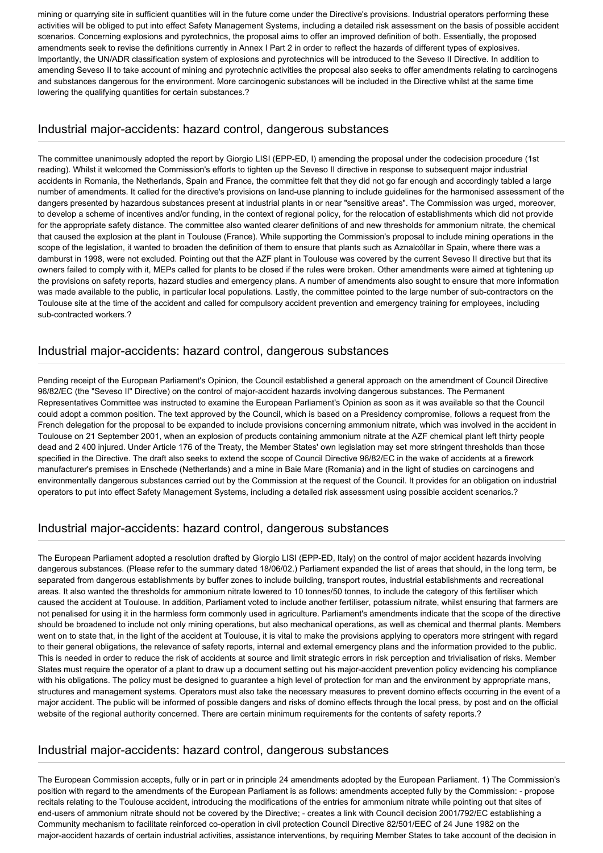mining or quarrying site in sufficient quantities will in the future come under the Directive's provisions. Industrial operators performing these activities will be obliged to put into effect Safety Management Systems, including a detailed risk assessment on the basis of possible accident scenarios. Concerning explosions and pyrotechnics, the proposal aims to offer an improved definition of both. Essentially, the proposed amendments seek to revise the definitions currently in Annex I Part 2 in order to reflect the hazards of different types of explosives. Importantly, the UN/ADR classification system of explosions and pyrotechnics will be introduced to the Seveso II Directive. In addition to amending Seveso II to take account of mining and pyrotechnic activities the proposal also seeks to offer amendments relating to carcinogens and substances dangerous for the environment. More carcinogenic substances will be included in the Directive whilst at the same time lowering the qualifying quantities for certain substances.?

## Industrial major-accidents: hazard control, dangerous substances

The committee unanimously adopted the report by Giorgio LISI (EPP-ED, I) amending the proposal under the codecision procedure (1st reading). Whilst it welcomed the Commission's efforts to tighten up the Seveso II directive in response to subsequent major industrial accidents in Romania, the Netherlands, Spain and France, the committee felt that they did not go far enough and accordingly tabled a large number of amendments. It called for the directive's provisions on land-use planning to include guidelines for the harmonised assessment of the dangers presented by hazardous substances present at industrial plants in or near "sensitive areas". The Commission was urged, moreover, to develop a scheme of incentives and/or funding, in the context of regional policy, for the relocation of establishments which did not provide for the appropriate safety distance. The committee also wanted clearer definitions of and new thresholds for ammonium nitrate, the chemical that caused the explosion at the plant in Toulouse (France). While supporting the Commission's proposal to include mining operations in the scope of the legislation, it wanted to broaden the definition of them to ensure that plants such as Aznalcóllar in Spain, where there was a damburst in 1998, were not excluded. Pointing out that the AZF plant in Toulouse was covered by the current Seveso II directive but that its owners failed to comply with it, MEPs called for plants to be closed if the rules were broken. Other amendments were aimed at tightening up the provisions on safety reports, hazard studies and emergency plans. A number of amendments also sought to ensure that more information was made available to the public, in particular local populations. Lastly, the committee pointed to the large number of sub-contractors on the Toulouse site at the time of the accident and called for compulsory accident prevention and emergency training for employees, including sub-contracted workers.?

## Industrial major-accidents: hazard control, dangerous substances

Pending receipt of the European Parliament's Opinion, the Council established a general approach on the amendment of Council Directive 96/82/EC (the "Seveso II" Directive) on the control of major-accident hazards involving dangerous substances. The Permanent Representatives Committee was instructed to examine the European Parliament's Opinion as soon as it was available so that the Council could adopt a common position. The text approved by the Council, which is based on a Presidency compromise, follows a request from the French delegation for the proposal to be expanded to include provisions concerning ammonium nitrate, which was involved in the accident in Toulouse on 21 September 2001, when an explosion of products containing ammonium nitrate at the AZF chemical plant left thirty people dead and 2 400 injured. Under Article 176 of the Treaty, the Member States' own legislation may set more stringent thresholds than those specified in the Directive. The draft also seeks to extend the scope of Council Directive 96/82/EC in the wake of accidents at a firework manufacturer's premises in Enschede (Netherlands) and a mine in Baie Mare (Romania) and in the light of studies on carcinogens and environmentally dangerous substances carried out by the Commission at the request of the Council. It provides for an obligation on industrial operators to put into effect Safety Management Systems, including a detailed risk assessment using possible accident scenarios.?

## Industrial major-accidents: hazard control, dangerous substances

The European Parliament adopted a resolution drafted by Giorgio LISI (EPP-ED, Italy) on the control of major accident hazards involving dangerous substances. (Please refer to the summary dated 18/06/02.) Parliament expanded the list of areas that should, in the long term, be separated from dangerous establishments by buffer zones to include building, transport routes, industrial establishments and recreational areas. It also wanted the thresholds for ammonium nitrate lowered to 10 tonnes/50 tonnes, to include the category of this fertiliser which caused the accident at Toulouse. In addition, Parliament voted to include another fertiliser, potassium nitrate, whilst ensuring that farmers are not penalised for using it in the harmless form commonly used in agriculture. Parliament's amendments indicate that the scope of the directive should be broadened to include not only mining operations, but also mechanical operations, as well as chemical and thermal plants. Members went on to state that, in the light of the accident at Toulouse, it is vital to make the provisions applying to operators more stringent with regard to their general obligations, the relevance of safety reports, internal and external emergency plans and the information provided to the public. This is needed in order to reduce the risk of accidents at source and limit strategic errors in risk perception and trivialisation of risks. Member States must require the operator of a plant to draw up a document setting out his major-accident prevention policy evidencing his compliance with his obligations. The policy must be designed to guarantee a high level of protection for man and the environment by appropriate mans, structures and management systems. Operators must also take the necessary measures to prevent domino effects occurring in the event of a major accident. The public will be informed of possible dangers and risks of domino effects through the local press, by post and on the official website of the regional authority concerned. There are certain minimum requirements for the contents of safety reports.?

## Industrial major-accidents: hazard control, dangerous substances

The European Commission accepts, fully or in part or in principle 24 amendments adopted by the European Parliament. 1) The Commission's position with regard to the amendments of the European Parliament is as follows: amendments accepted fully by the Commission: - propose recitals relating to the Toulouse accident, introducing the modifications of the entries for ammonium nitrate while pointing out that sites of end-users of ammonium nitrate should not be covered by the Directive; - creates a link with Council decision 2001/792/EC establishing a Community mechanism to facilitate reinforced co-operation in civil protection Council Directive 82/501/EEC of 24 June 1982 on the major-accident hazards of certain industrial activities, assistance interventions, by requiring Member States to take account of the decision in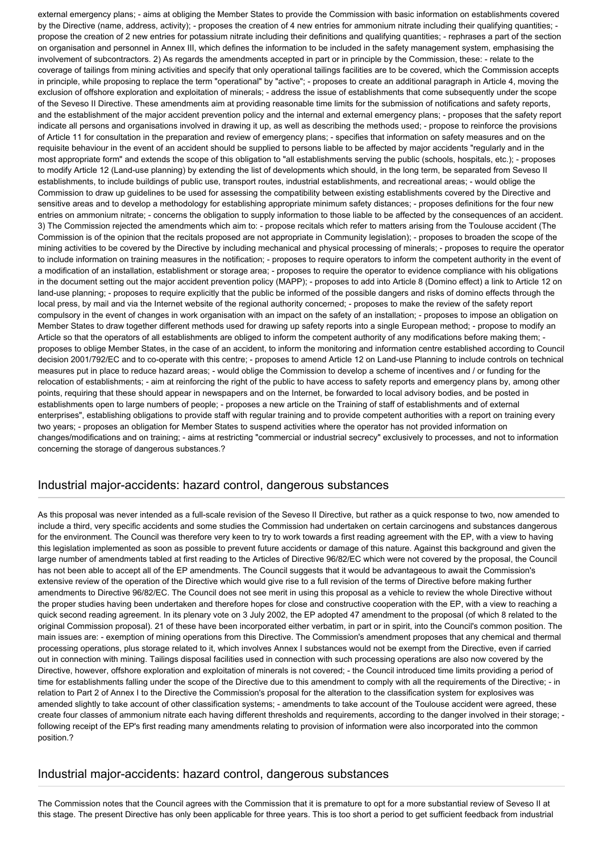external emergency plans; - aims at obliging the Member States to provide the Commission with basic information on establishments covered by the Directive (name, address, activity); - proposes the creation of 4 new entries for ammonium nitrate including their qualifying quantities; propose the creation of 2 new entries for potassium nitrate including their definitions and qualifying quantities; - rephrases a part of the section on organisation and personnel in Annex III, which defines the information to be included in the safety management system, emphasising the involvement of subcontractors. 2) As regards the amendments accepted in part or in principle by the Commission, these: - relate to the coverage of tailings from mining activities and specify that only operational tailings facilities are to be covered, which the Commission accepts in principle, while proposing to replace the term "operational" by "active"; - proposes to create an additional paragraph in Article 4, moving the exclusion of offshore exploration and exploitation of minerals; - address the issue of establishments that come subsequently under the scope of the Seveso II Directive. These amendments aim at providing reasonable time limits for the submission of notifications and safety reports, and the establishment of the major accident prevention policy and the internal and external emergency plans; - proposes that the safety report indicate all persons and organisations involved in drawing it up, as well as describing the methods used; - propose to reinforce the provisions of Article 11 for consultation in the preparation and review of emergency plans; - specifies that information on safety measures and on the requisite behaviour in the event of an accident should be supplied to persons liable to be affected by major accidents "regularly and in the most appropriate form" and extends the scope of this obligation to "all establishments serving the public (schools, hospitals, etc.); - proposes to modify Article 12 (Land-use planning) by extending the list of developments which should, in the long term, be separated from Seveso II establishments, to include buildings of public use, transport routes, industrial establishments, and recreational areas; - would oblige the Commission to draw up guidelines to be used for assessing the compatibility between existing establishments covered by the Directive and sensitive areas and to develop a methodology for establishing appropriate minimum safety distances; - proposes definitions for the four new entries on ammonium nitrate; - concerns the obligation to supply information to those liable to be affected by the consequences of an accident. 3) The Commission rejected the amendments which aim to: - propose recitals which refer to matters arising from the Toulouse accident (The Commission is of the opinion that the recitals proposed are not appropriate in Community legislation); - proposes to broaden the scope of the mining activities to be covered by the Directive by including mechanical and physical processing of minerals; - proposes to require the operator to include information on training measures in the notification; - proposes to require operators to inform the competent authority in the event of a modification of an installation, establishment or storage area; - proposes to require the operator to evidence compliance with his obligations in the document setting out the major accident prevention policy (MAPP); - proposes to add into Article 8 (Domino effect) a link to Article 12 on land-use planning; - proposes to require explicitly that the public be informed of the possible dangers and risks of domino effects through the local press, by mail and via the Internet website of the regional authority concerned; - proposes to make the review of the safety report compulsory in the event of changes in work organisation with an impact on the safety of an installation; - proposes to impose an obligation on Member States to draw together different methods used for drawing up safety reports into a single European method; - propose to modify an Article so that the operators of all establishments are obliged to inform the competent authority of any modifications before making them; proposes to oblige Member States, in the case of an accident, to inform the monitoring and information centre established according to Council decision 2001/792/EC and to co-operate with this centre; - proposes to amend Article 12 on Land-use Planning to include controls on technical measures put in place to reduce hazard areas; - would oblige the Commission to develop a scheme of incentives and / or funding for the relocation of establishments; - aim at reinforcing the right of the public to have access to safety reports and emergency plans by, among other points, requiring that these should appear in newspapers and on the Internet, be forwarded to local advisory bodies, and be posted in establishments open to large numbers of people; - proposes a new article on the Training of staff of establishments and of external enterprises", establishing obligations to provide staff with regular training and to provide competent authorities with a report on training every two years; - proposes an obligation for Member States to suspend activities where the operator has not provided information on changes/modifications and on training; - aims at restricting "commercial or industrial secrecy" exclusively to processes, and not to information concerning the storage of dangerous substances.?

### Industrial major-accidents: hazard control, dangerous substances

As this proposal was never intended as a full-scale revision of the Seveso II Directive, but rather as a quick response to two, now amended to include a third, very specific accidents and some studies the Commission had undertaken on certain carcinogens and substances dangerous for the environment. The Council was therefore very keen to try to work towards a first reading agreement with the EP, with a view to having this legislation implemented as soon as possible to prevent future accidents or damage of this nature. Against this background and given the large number of amendments tabled at first reading to the Articles of Directive 96/82/EC which were not covered by the proposal, the Council has not been able to accept all of the EP amendments. The Council suggests that it would be advantageous to await the Commission's extensive review of the operation of the Directive which would give rise to a full revision of the terms of Directive before making further amendments to Directive 96/82/EC. The Council does not see merit in using this proposal as a vehicle to review the whole Directive without the proper studies having been undertaken and therefore hopes for close and constructive cooperation with the EP, with a view to reaching a quick second reading agreement. In its plenary vote on 3 July 2002, the EP adopted 47 amendment to the proposal (of which 8 related to the original Commission proposal). 21 of these have been incorporated either verbatim, in part or in spirit, into the Council's common position. The main issues are: - exemption of mining operations from this Directive. The Commission's amendment proposes that any chemical and thermal processing operations, plus storage related to it, which involves Annex I substances would not be exempt from the Directive, even if carried out in connection with mining. Tailings disposal facilities used in connection with such processing operations are also now covered by the Directive, however, offshore exploration and exploitation of minerals is not covered; - the Council introduced time limits providing a period of time for establishments falling under the scope of the Directive due to this amendment to comply with all the requirements of the Directive; - in relation to Part 2 of Annex I to the Directive the Commission's proposal for the alteration to the classification system for explosives was amended slightly to take account of other classification systems; - amendments to take account of the Toulouse accident were agreed, these create four classes of ammonium nitrate each having different thresholds and requirements, according to the danger involved in their storage; following receipt of the EP's first reading many amendments relating to provision of information were also incorporated into the common position.?

### Industrial major-accidents: hazard control, dangerous substances

The Commission notes that the Council agrees with the Commission that it is premature to opt for a more substantial review of Seveso II at this stage. The present Directive has only been applicable for three years. This is too short a period to get sufficient feedback from industrial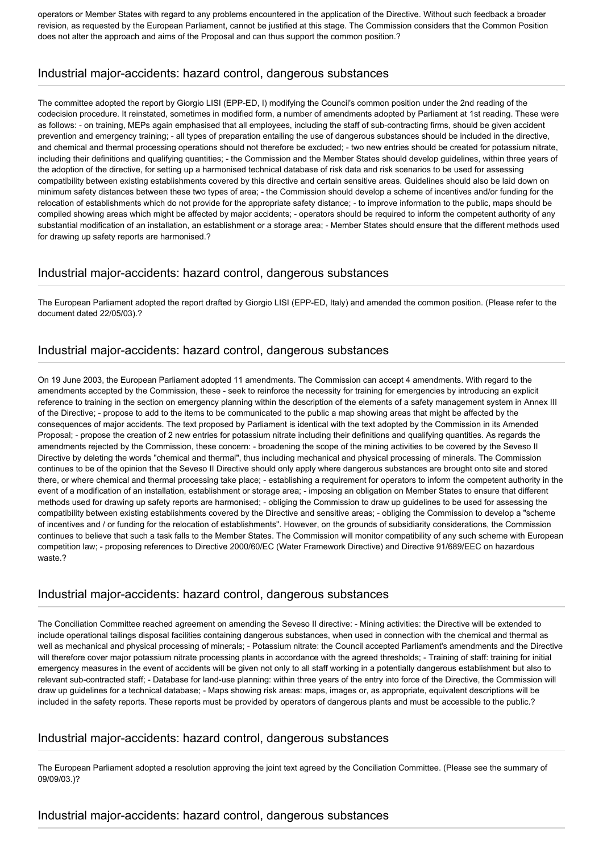operators or Member States with regard to any problems encountered in the application of the Directive. Without such feedback a broader revision, as requested by the European Parliament, cannot be justified at this stage. The Commission considers that the Common Position does not alter the approach and aims of the Proposal and can thus support the common position.?

## Industrial major-accidents: hazard control, dangerous substances

The committee adopted the report by Giorgio LISI (EPP-ED, I) modifying the Council's common position under the 2nd reading of the codecision procedure. It reinstated, sometimes in modified form, a number of amendments adopted by Parliament at 1st reading. These were as follows: - on training, MEPs again emphasised that all employees, including the staff of sub-contracting firms, should be given accident prevention and emergency training; - all types of preparation entailing the use of dangerous substances should be included in the directive, and chemical and thermal processing operations should not therefore be excluded; - two new entries should be created for potassium nitrate, including their definitions and qualifying quantities; - the Commission and the Member States should develop guidelines, within three years of the adoption of the directive, for setting up a harmonised technical database of risk data and risk scenarios to be used for assessing compatibility between existing establishments covered by this directive and certain sensitive areas. Guidelines should also be laid down on minimum safety distances between these two types of area; - the Commission should develop a scheme of incentives and/or funding for the relocation of establishments which do not provide for the appropriate safety distance; - to improve information to the public, maps should be compiled showing areas which might be affected by major accidents; - operators should be required to inform the competent authority of any substantial modification of an installation, an establishment or a storage area; - Member States should ensure that the different methods used for drawing up safety reports are harmonised.?

### Industrial major-accidents: hazard control, dangerous substances

The European Parliament adopted the report drafted by Giorgio LISI (EPP-ED, Italy) and amended the common position. (Please refer to the document dated 22/05/03).?

### Industrial major-accidents: hazard control, dangerous substances

On 19 June 2003, the European Parliament adopted 11 amendments. The Commission can accept 4 amendments. With regard to the amendments accepted by the Commission, these - seek to reinforce the necessity for training for emergencies by introducing an explicit reference to training in the section on emergency planning within the description of the elements of a safety management system in Annex III of the Directive; - propose to add to the items to be communicated to the public a map showing areas that might be affected by the consequences of major accidents. The text proposed by Parliament is identical with the text adopted by the Commission in its Amended Proposal; - propose the creation of 2 new entries for potassium nitrate including their definitions and qualifying quantities. As regards the amendments rejected by the Commission, these concern: - broadening the scope of the mining activities to be covered by the Seveso II Directive by deleting the words "chemical and thermal", thus including mechanical and physical processing of minerals. The Commission continues to be of the opinion that the Seveso II Directive should only apply where dangerous substances are brought onto site and stored there, or where chemical and thermal processing take place; - establishing a requirement for operators to inform the competent authority in the event of a modification of an installation, establishment or storage area; - imposing an obligation on Member States to ensure that different methods used for drawing up safety reports are harmonised; - obliging the Commission to draw up guidelines to be used for assessing the compatibility between existing establishments covered by the Directive and sensitive areas; - obliging the Commission to develop a "scheme of incentives and / or funding for the relocation of establishments". However, on the grounds of subsidiarity considerations, the Commission continues to believe that such a task falls to the Member States. The Commission will monitor compatibility of any such scheme with European competition law; - proposing references to Directive 2000/60/EC (Water Framework Directive) and Directive 91/689/EEC on hazardous waste.?

#### Industrial major-accidents: hazard control, dangerous substances

The Conciliation Committee reached agreement on amending the Seveso II directive: - Mining activities: the Directive will be extended to include operational tailings disposal facilities containing dangerous substances, when used in connection with the chemical and thermal as well as mechanical and physical processing of minerals; - Potassium nitrate: the Council accepted Parliament's amendments and the Directive will therefore cover major potassium nitrate processing plants in accordance with the agreed thresholds; - Training of staff: training for initial emergency measures in the event of accidents will be given not only to all staff working in a potentially dangerous establishment but also to relevant sub-contracted staff; - Database for land-use planning: within three years of the entry into force of the Directive, the Commission will draw up guidelines for a technical database; - Maps showing risk areas: maps, images or, as appropriate, equivalent descriptions will be included in the safety reports. These reports must be provided by operators of dangerous plants and must be accessible to the public.?

### Industrial major-accidents: hazard control, dangerous substances

The European Parliament adopted a resolution approving the joint text agreed by the Conciliation Committee. (Please see the summary of 09/09/03.)?

### Industrial major-accidents: hazard control, dangerous substances